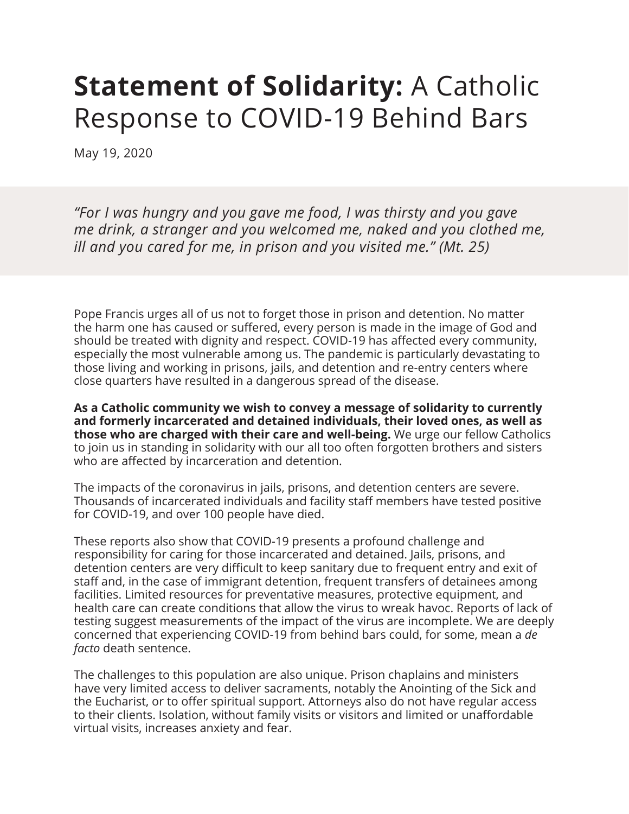## **Statement of Solidarity: A Catholic** Response to COVID-19 Behind Bars

May 19, 2020

*"For I was hungry and you gave me food, I was thirsty and you gave me drink, a stranger and you welcomed me, naked and you clothed me, ill and you cared for me, in prison and you visited me." (Mt. 25)*

Pope Francis urges all of us not to forget those in prison and detention. No matter the harm one has caused or suffered, every person is made in the image of God and should be treated with dignity and respect. COVID-19 has affected every community, especially the most vulnerable among us. The pandemic is particularly devastating to those living and working in prisons, jails, and detention and re-entry centers where close quarters have resulted in a dangerous spread of the disease.

**As a Catholic community we wish to convey a message of solidarity to currently and formerly incarcerated and detained individuals, their loved ones, as well as those who are charged with their care and well-being.** We urge our fellow Catholics to join us in standing in solidarity with our all too often forgotten brothers and sisters who are affected by incarceration and detention.

The impacts of the coronavirus in jails, prisons, and detention centers are severe. Thousands of incarcerated individuals and facility staff members have tested positive for COVID-19, and over 100 people have died.

These reports also show that COVID-19 presents a profound challenge and responsibility for caring for those incarcerated and detained. Jails, prisons, and detention centers are very difficult to keep sanitary due to frequent entry and exit of staff and, in the case of immigrant detention, frequent transfers of detainees among facilities. Limited resources for preventative measures, protective equipment, and health care can create conditions that allow the virus to wreak havoc. Reports of lack of testing suggest measurements of the impact of the virus are incomplete. We are deeply concerned that experiencing COVID-19 from behind bars could, for some, mean a *de facto* death sentence.

The challenges to this population are also unique. Prison chaplains and ministers have very limited access to deliver sacraments, notably the Anointing of the Sick and the Eucharist, or to offer spiritual support. Attorneys also do not have regular access to their clients. Isolation, without family visits or visitors and limited or unaffordable virtual visits, increases anxiety and fear.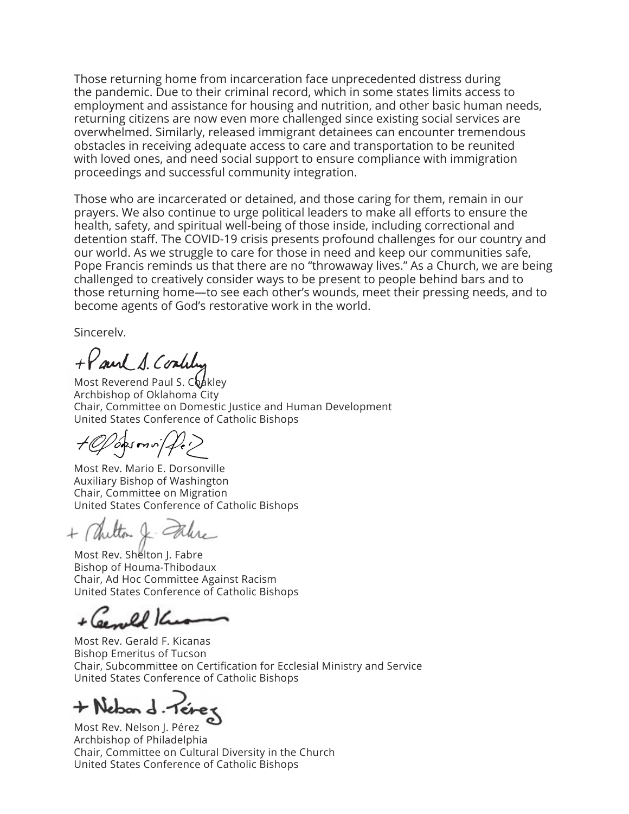Those returning home from incarceration face unprecedented distress during the pandemic. Due to their criminal record, which in some states limits access to employment and assistance for housing and nutrition, and other basic human needs, returning citizens are now even more challenged since existing social services are overwhelmed. Similarly, released immigrant detainees can encounter tremendous obstacles in receiving adequate access to care and transportation to be reunited with loved ones, and need social support to ensure compliance with immigration proceedings and successful community integration.

Those who are incarcerated or detained, and those caring for them, remain in our prayers. We also continue to urge political leaders to make all efforts to ensure the health, safety, and spiritual well-being of those inside, including correctional and detention staff. The COVID-19 crisis presents profound challenges for our country and our world. As we struggle to care for those in need and keep our communities safe, Pope Francis reminds us that there are no "throwaway lives." As a Church, we are being challenged to creatively consider ways to be present to people behind bars and to those returning home—to see each other's wounds, meet their pressing needs, and to become agents of God's restorative work in the world.

Sincerely,

+ Paul S. Coalily

Most Reverend Paul S. Coakley Archbishop of Oklahoma City Chair, Committee on Domestic Justice and Human Development United States Conference of Catholic Bishops

opsmn/fer

Most Rev. Mario E. Dorsonville Auxiliary Bishop of Washington Chair, Committee on Migration United States Conference of Catholic Bishops

+ Chilton & Take

Most Rev. Shelton J. Fabre Bishop of Houma-Thibodaux Chair, Ad Hoc Committee Against Racism United States Conference of Catholic Bishops

Genell K

Most Rev. Gerald F. Kicanas Bishop Emeritus of Tucson Chair, Subcommittee on Certification for Ecclesial Ministry and Service United States Conference of Catholic Bishops

+ Nebon d. Teres

Most Rev. Nelson J. Pérez Archbishop of Philadelphia Chair, Committee on Cultural Diversity in the Church United States Conference of Catholic Bishops